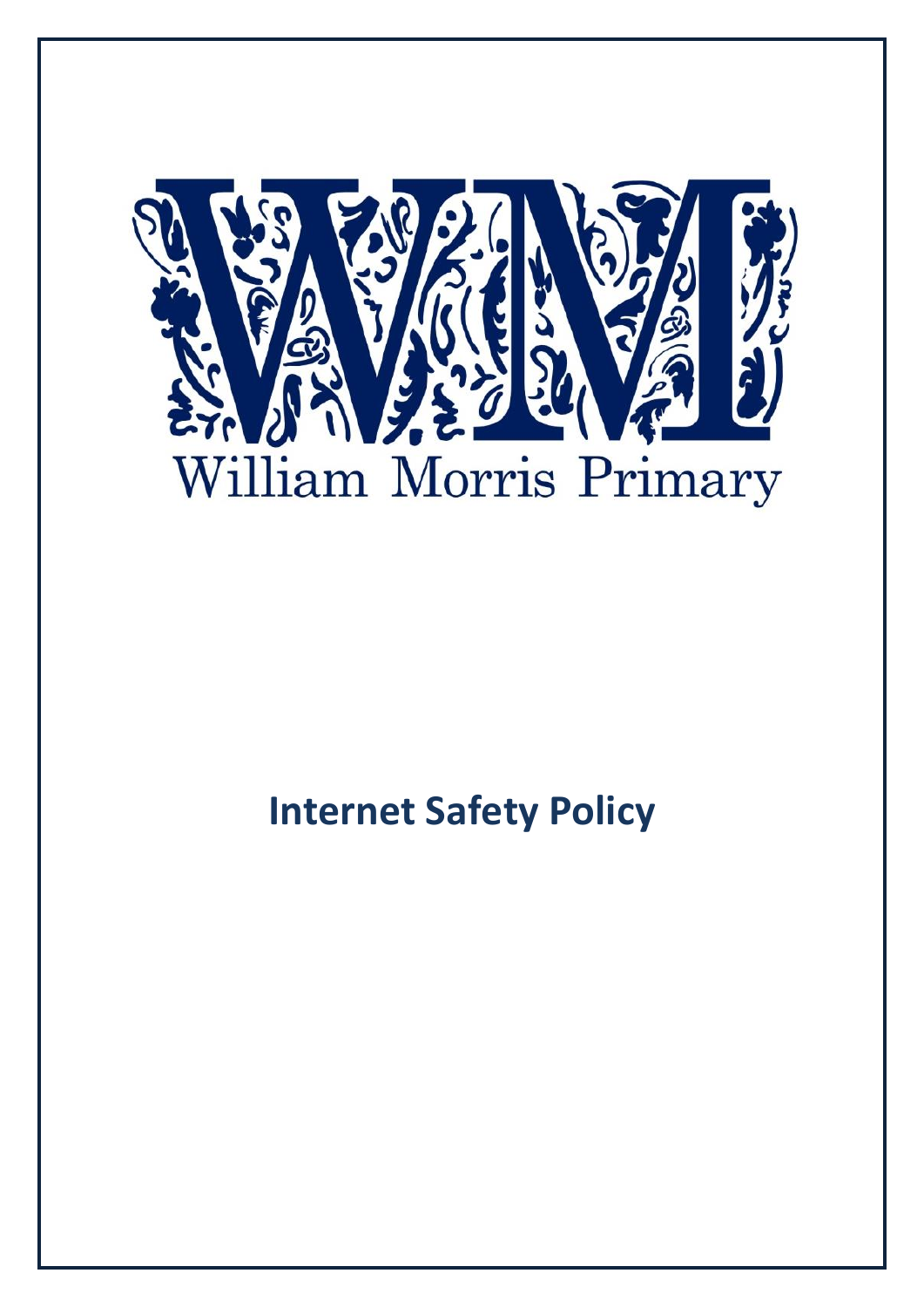

# **Internet Safety Policy**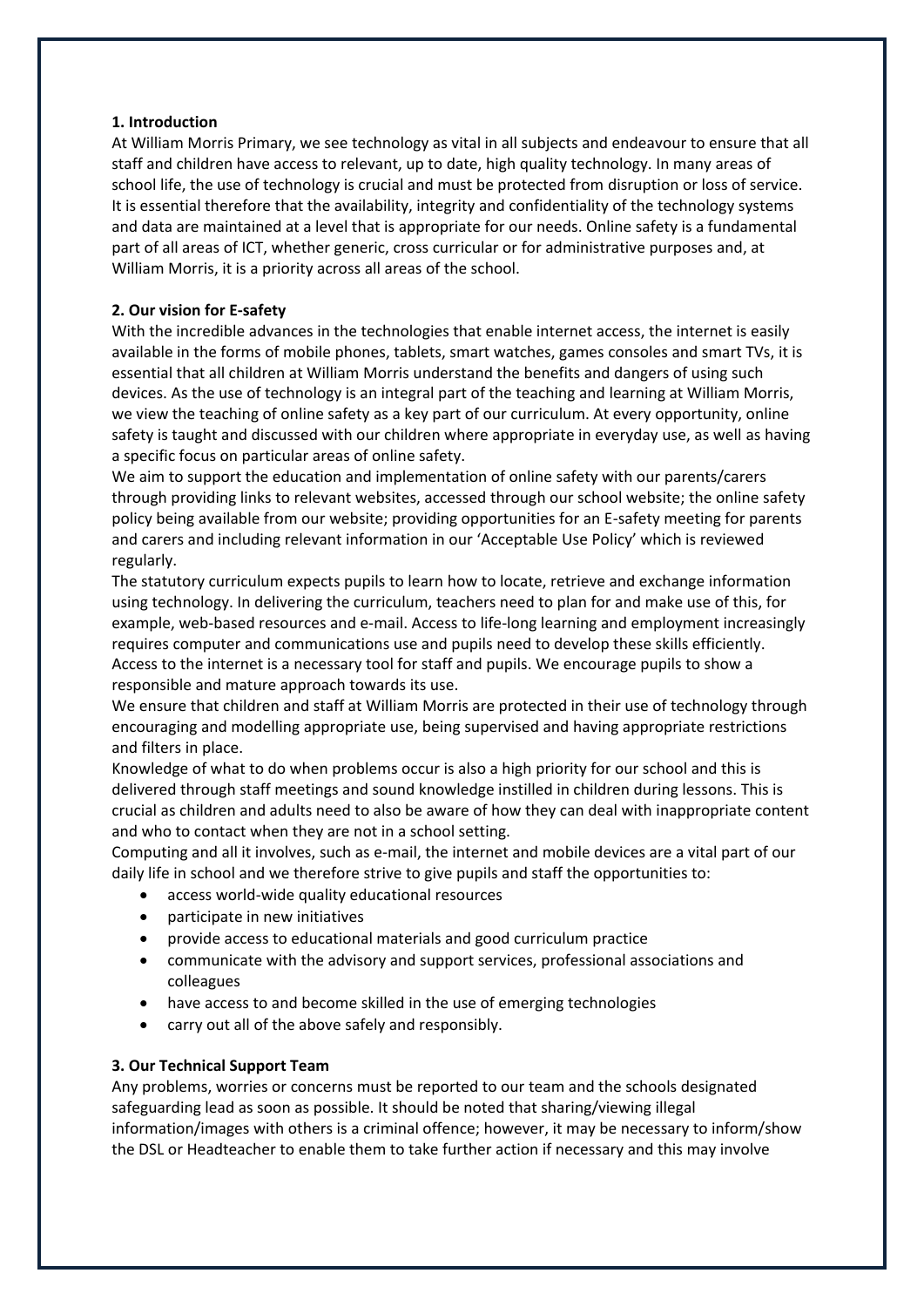## **1. Introduction**

At William Morris Primary, we see technology as vital in all subjects and endeavour to ensure that all staff and children have access to relevant, up to date, high quality technology. In many areas of school life, the use of technology is crucial and must be protected from disruption or loss of service. It is essential therefore that the availability, integrity and confidentiality of the technology systems and data are maintained at a level that is appropriate for our needs. Online safety is a fundamental part of all areas of ICT, whether generic, cross curricular or for administrative purposes and, at William Morris, it is a priority across all areas of the school.

# **2. Our vision for E-safety**

With the incredible advances in the technologies that enable internet access, the internet is easily available in the forms of mobile phones, tablets, smart watches, games consoles and smart TVs, it is essential that all children at William Morris understand the benefits and dangers of using such devices. As the use of technology is an integral part of the teaching and learning at William Morris, we view the teaching of online safety as a key part of our curriculum. At every opportunity, online safety is taught and discussed with our children where appropriate in everyday use, as well as having a specific focus on particular areas of online safety.

We aim to support the education and implementation of online safety with our parents/carers through providing links to relevant websites, accessed through our school website; the online safety policy being available from our website; providing opportunities for an E-safety meeting for parents and carers and including relevant information in our 'Acceptable Use Policy' which is reviewed regularly.

The statutory curriculum expects pupils to learn how to locate, retrieve and exchange information using technology. In delivering the curriculum, teachers need to plan for and make use of this, for example, web-based resources and e-mail. Access to life-long learning and employment increasingly requires computer and communications use and pupils need to develop these skills efficiently. Access to the internet is a necessary tool for staff and pupils. We encourage pupils to show a responsible and mature approach towards its use.

We ensure that children and staff at William Morris are protected in their use of technology through encouraging and modelling appropriate use, being supervised and having appropriate restrictions and filters in place.

Knowledge of what to do when problems occur is also a high priority for our school and this is delivered through staff meetings and sound knowledge instilled in children during lessons. This is crucial as children and adults need to also be aware of how they can deal with inappropriate content and who to contact when they are not in a school setting.

Computing and all it involves, such as e‐mail, the internet and mobile devices are a vital part of our daily life in school and we therefore strive to give pupils and staff the opportunities to:

- access world-wide quality educational resources
- participate in new initiatives
- provide access to educational materials and good curriculum practice
- communicate with the advisory and support services, professional associations and colleagues
- have access to and become skilled in the use of emerging technologies
- carry out all of the above safely and responsibly.

## **3. Our Technical Support Team**

Any problems, worries or concerns must be reported to our team and the schools designated safeguarding lead as soon as possible. It should be noted that sharing/viewing illegal information/images with others is a criminal offence; however, it may be necessary to inform/show the DSL or Headteacher to enable them to take further action if necessary and this may involve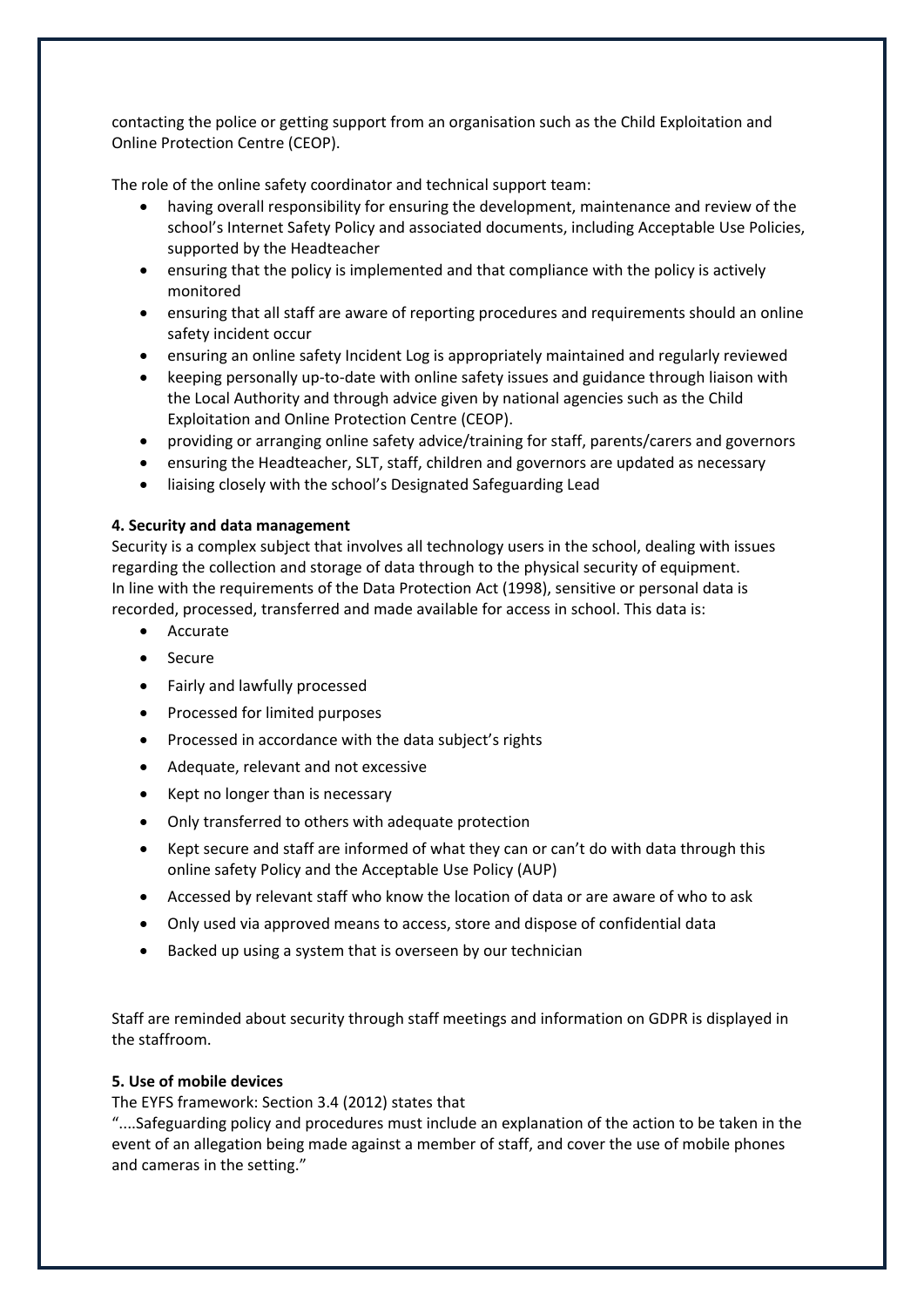contacting the police or getting support from an organisation such as the Child Exploitation and Online Protection Centre (CEOP).

The role of the online safety coordinator and technical support team:

- having overall responsibility for ensuring the development, maintenance and review of the school's Internet Safety Policy and associated documents, including Acceptable Use Policies, supported by the Headteacher
- ensuring that the policy is implemented and that compliance with the policy is actively monitored
- ensuring that all staff are aware of reporting procedures and requirements should an online safety incident occur
- ensuring an online safety Incident Log is appropriately maintained and regularly reviewed
- keeping personally up-to-date with online safety issues and guidance through liaison with the Local Authority and through advice given by national agencies such as the Child Exploitation and Online Protection Centre (CEOP).
- providing or arranging online safety advice/training for staff, parents/carers and governors
- ensuring the Headteacher, SLT, staff, children and governors are updated as necessary
- liaising closely with the school's Designated Safeguarding Lead

## **4. Security and data management**

Security is a complex subject that involves all technology users in the school, dealing with issues regarding the collection and storage of data through to the physical security of equipment. In line with the requirements of the Data Protection Act (1998), sensitive or personal data is recorded, processed, transferred and made available for access in school. This data is:

- Accurate
- Secure
- Fairly and lawfully processed
- Processed for limited purposes
- Processed in accordance with the data subject's rights
- Adequate, relevant and not excessive
- Kept no longer than is necessary
- Only transferred to others with adequate protection
- Kept secure and staff are informed of what they can or can't do with data through this online safety Policy and the Acceptable Use Policy (AUP)
- Accessed by relevant staff who know the location of data or are aware of who to ask
- Only used via approved means to access, store and dispose of confidential data
- Backed up using a system that is overseen by our technician

Staff are reminded about security through staff meetings and information on GDPR is displayed in the staffroom.

## **5. Use of mobile devices**

The EYFS framework: Section 3.4 (2012) states that

"....Safeguarding policy and procedures must include an explanation of the action to be taken in the event of an allegation being made against a member of staff, and cover the use of mobile phones and cameras in the setting."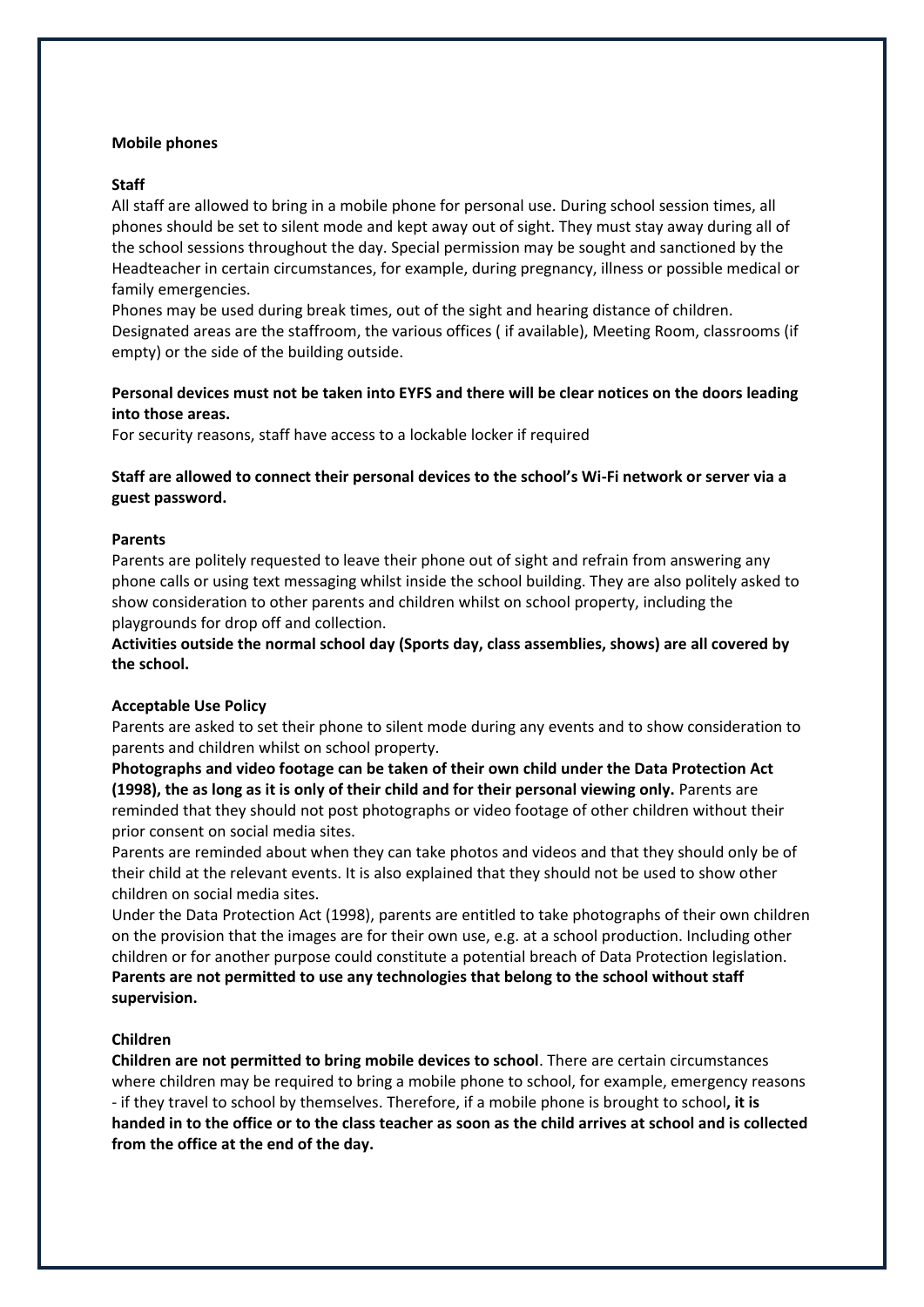#### **Mobile phones**

#### **Staff**

All staff are allowed to bring in a mobile phone for personal use. During school session times, all phones should be set to silent mode and kept away out of sight. They must stay away during all of the school sessions throughout the day. Special permission may be sought and sanctioned by the Headteacher in certain circumstances, for example, during pregnancy, illness or possible medical or family emergencies.

Phones may be used during break times, out of the sight and hearing distance of children. Designated areas are the staffroom, the various offices ( if available), Meeting Room, classrooms (if empty) or the side of the building outside.

# **Personal devices must not be taken into EYFS and there will be clear notices on the doors leading into those areas.**

For security reasons, staff have access to a lockable locker if required

## **Staff are allowed to connect their personal devices to the school's Wi-Fi network or server via a guest password.**

#### **Parents**

Parents are politely requested to leave their phone out of sight and refrain from answering any phone calls or using text messaging whilst inside the school building. They are also politely asked to show consideration to other parents and children whilst on school property, including the playgrounds for drop off and collection.

**Activities outside the normal school day (Sports day, class assemblies, shows) are all covered by the school.**

#### **Acceptable Use Policy**

Parents are asked to set their phone to silent mode during any events and to show consideration to parents and children whilst on school property.

**Photographs and video footage can be taken of their own child under the Data Protection Act (1998), the as long as it is only of their child and for their personal viewing only.** Parents are reminded that they should not post photographs or video footage of other children without their prior consent on social media sites.

Parents are reminded about when they can take photos and videos and that they should only be of their child at the relevant events. It is also explained that they should not be used to show other children on social media sites.

Under the Data Protection Act (1998), parents are entitled to take photographs of their own children on the provision that the images are for their own use, e.g. at a school production. Including other children or for another purpose could constitute a potential breach of Data Protection legislation. **Parents are not permitted to use any technologies that belong to the school without staff supervision.** 

## **Children**

**Children are not permitted to bring mobile devices to school**. There are certain circumstances where children may be required to bring a mobile phone to school, for example, emergency reasons - if they travel to school by themselves. Therefore, if a mobile phone is brought to school**, it is handed in to the office or to the class teacher as soon as the child arrives at school and is collected from the office at the end of the day.**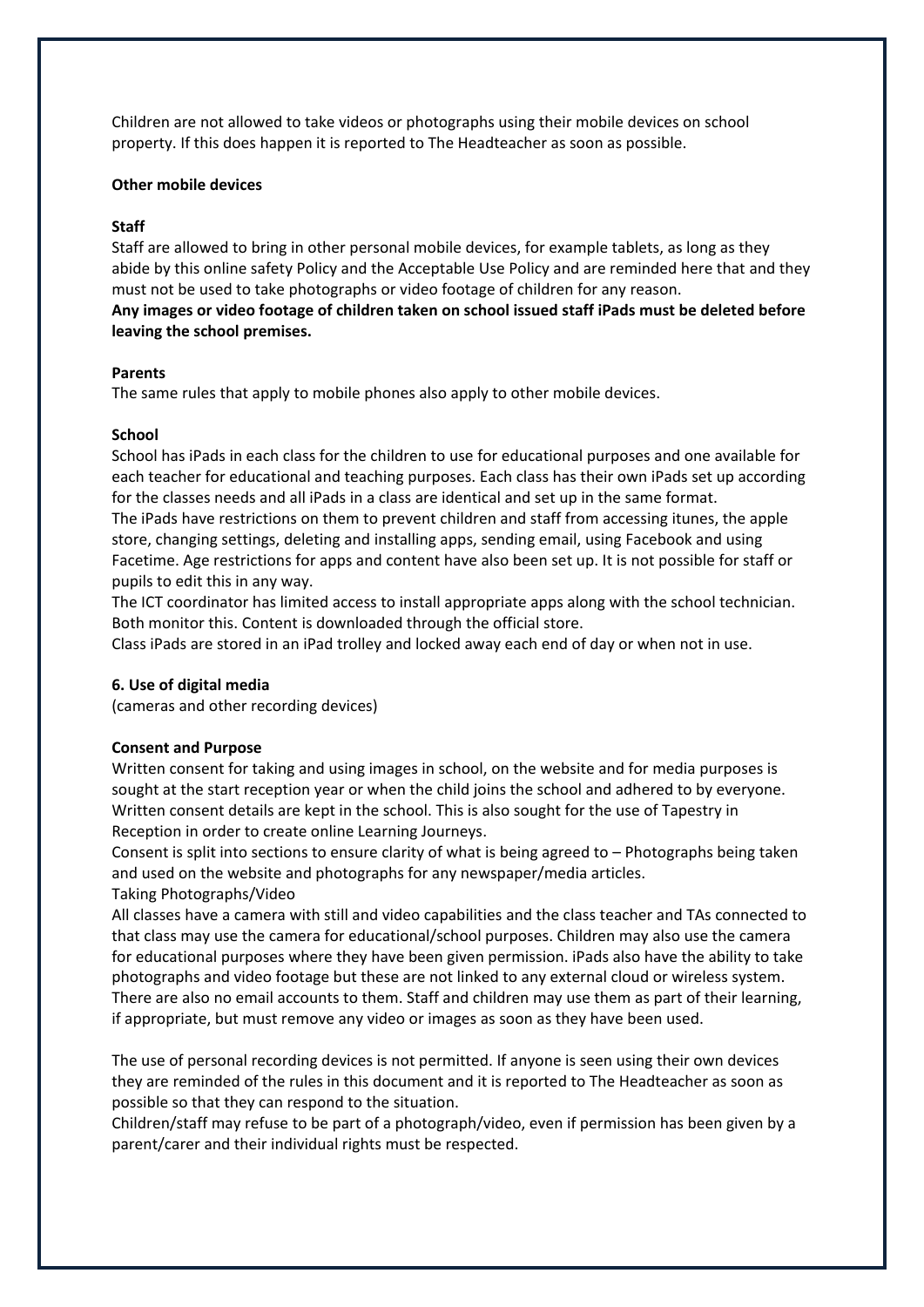Children are not allowed to take videos or photographs using their mobile devices on school property. If this does happen it is reported to The Headteacher as soon as possible.

#### **Other mobile devices**

#### **Staff**

Staff are allowed to bring in other personal mobile devices, for example tablets, as long as they abide by this online safety Policy and the Acceptable Use Policy and are reminded here that and they must not be used to take photographs or video footage of children for any reason. **Any images or video footage of children taken on school issued staff iPads must be deleted before leaving the school premises.** 

#### **Parents**

The same rules that apply to mobile phones also apply to other mobile devices.

#### **School**

School has iPads in each class for the children to use for educational purposes and one available for each teacher for educational and teaching purposes. Each class has their own iPads set up according for the classes needs and all iPads in a class are identical and set up in the same format.

The iPads have restrictions on them to prevent children and staff from accessing itunes, the apple store, changing settings, deleting and installing apps, sending email, using Facebook and using Facetime. Age restrictions for apps and content have also been set up. It is not possible for staff or pupils to edit this in any way.

The ICT coordinator has limited access to install appropriate apps along with the school technician. Both monitor this. Content is downloaded through the official store.

Class iPads are stored in an iPad trolley and locked away each end of day or when not in use.

## **6. Use of digital media**

(cameras and other recording devices)

#### **Consent and Purpose**

Written consent for taking and using images in school, on the website and for media purposes is sought at the start reception year or when the child joins the school and adhered to by everyone. Written consent details are kept in the school. This is also sought for the use of Tapestry in Reception in order to create online Learning Journeys.

Consent is split into sections to ensure clarity of what is being agreed to – Photographs being taken and used on the website and photographs for any newspaper/media articles. Taking Photographs/Video

All classes have a camera with still and video capabilities and the class teacher and TAs connected to that class may use the camera for educational/school purposes. Children may also use the camera for educational purposes where they have been given permission. iPads also have the ability to take photographs and video footage but these are not linked to any external cloud or wireless system. There are also no email accounts to them. Staff and children may use them as part of their learning, if appropriate, but must remove any video or images as soon as they have been used.

The use of personal recording devices is not permitted. If anyone is seen using their own devices they are reminded of the rules in this document and it is reported to The Headteacher as soon as possible so that they can respond to the situation.

Children/staff may refuse to be part of a photograph/video, even if permission has been given by a parent/carer and their individual rights must be respected.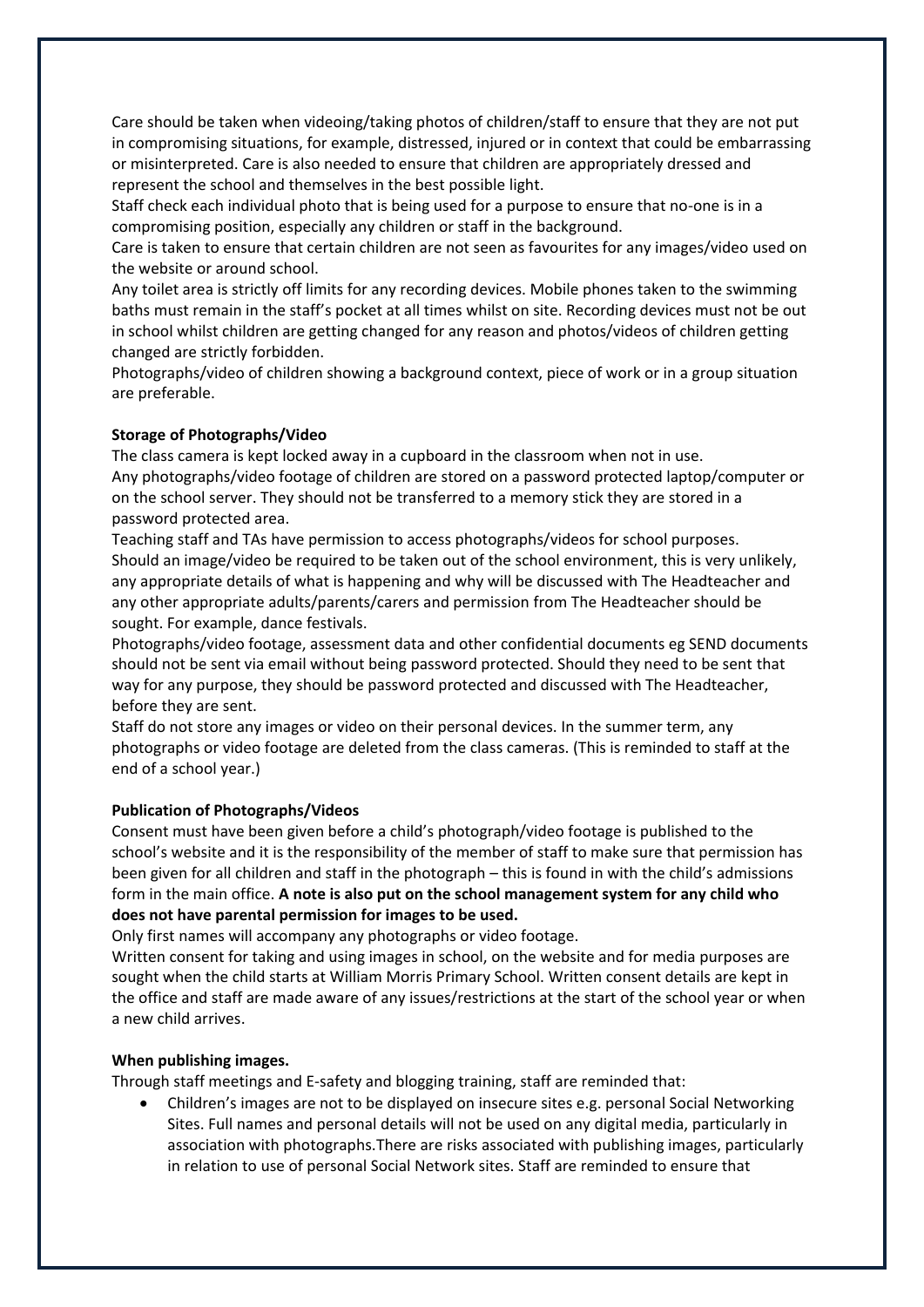Care should be taken when videoing/taking photos of children/staff to ensure that they are not put in compromising situations, for example, distressed, injured or in context that could be embarrassing or misinterpreted. Care is also needed to ensure that children are appropriately dressed and represent the school and themselves in the best possible light.

Staff check each individual photo that is being used for a purpose to ensure that no-one is in a compromising position, especially any children or staff in the background.

Care is taken to ensure that certain children are not seen as favourites for any images/video used on the website or around school.

Any toilet area is strictly off limits for any recording devices. Mobile phones taken to the swimming baths must remain in the staff's pocket at all times whilst on site. Recording devices must not be out in school whilst children are getting changed for any reason and photos/videos of children getting changed are strictly forbidden.

Photographs/video of children showing a background context, piece of work or in a group situation are preferable.

#### **Storage of Photographs/Video**

The class camera is kept locked away in a cupboard in the classroom when not in use. Any photographs/video footage of children are stored on a password protected laptop/computer or on the school server. They should not be transferred to a memory stick they are stored in a password protected area.

Teaching staff and TAs have permission to access photographs/videos for school purposes. Should an image/video be required to be taken out of the school environment, this is very unlikely, any appropriate details of what is happening and why will be discussed with The Headteacher and any other appropriate adults/parents/carers and permission from The Headteacher should be sought. For example, dance festivals.

Photographs/video footage, assessment data and other confidential documents eg SEND documents should not be sent via email without being password protected. Should they need to be sent that way for any purpose, they should be password protected and discussed with The Headteacher, before they are sent.

Staff do not store any images or video on their personal devices. In the summer term, any photographs or video footage are deleted from the class cameras. (This is reminded to staff at the end of a school year.)

## **Publication of Photographs/Videos**

Consent must have been given before a child's photograph/video footage is published to the school's website and it is the responsibility of the member of staff to make sure that permission has been given for all children and staff in the photograph – this is found in with the child's admissions form in the main office. **A note is also put on the school management system for any child who does not have parental permission for images to be used.** 

Only first names will accompany any photographs or video footage.

Written consent for taking and using images in school, on the website and for media purposes are sought when the child starts at William Morris Primary School. Written consent details are kept in the office and staff are made aware of any issues/restrictions at the start of the school year or when a new child arrives.

#### **When publishing images.**

Through staff meetings and E-safety and blogging training, staff are reminded that:

 Children's images are not to be displayed on insecure sites e.g. personal Social Networking Sites. Full names and personal details will not be used on any digital media, particularly in association with photographs.There are risks associated with publishing images, particularly in relation to use of personal Social Network sites. Staff are reminded to ensure that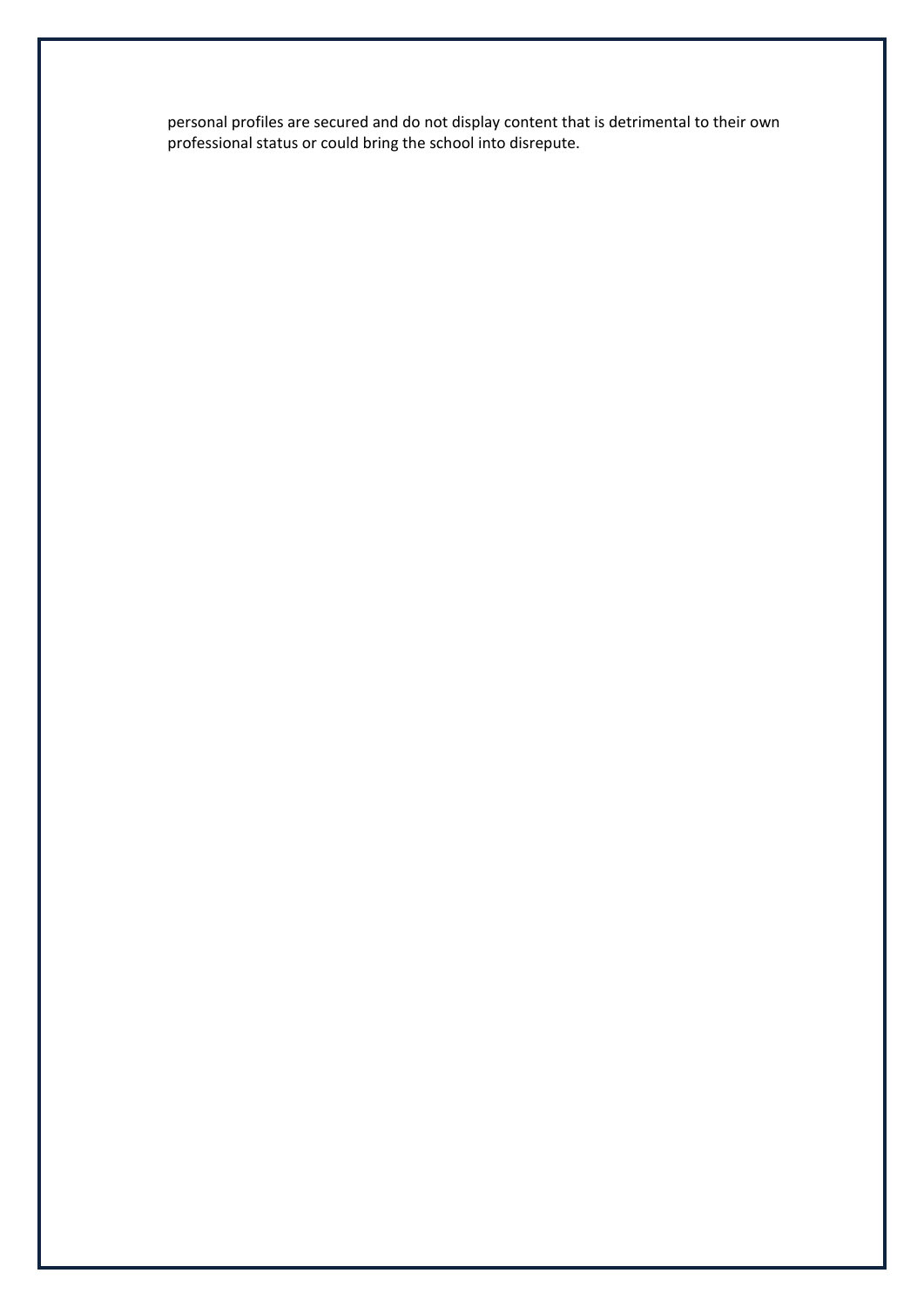personal profiles are secured and do not display content that is detrimental to their own professional status or could bring the school into disrepute.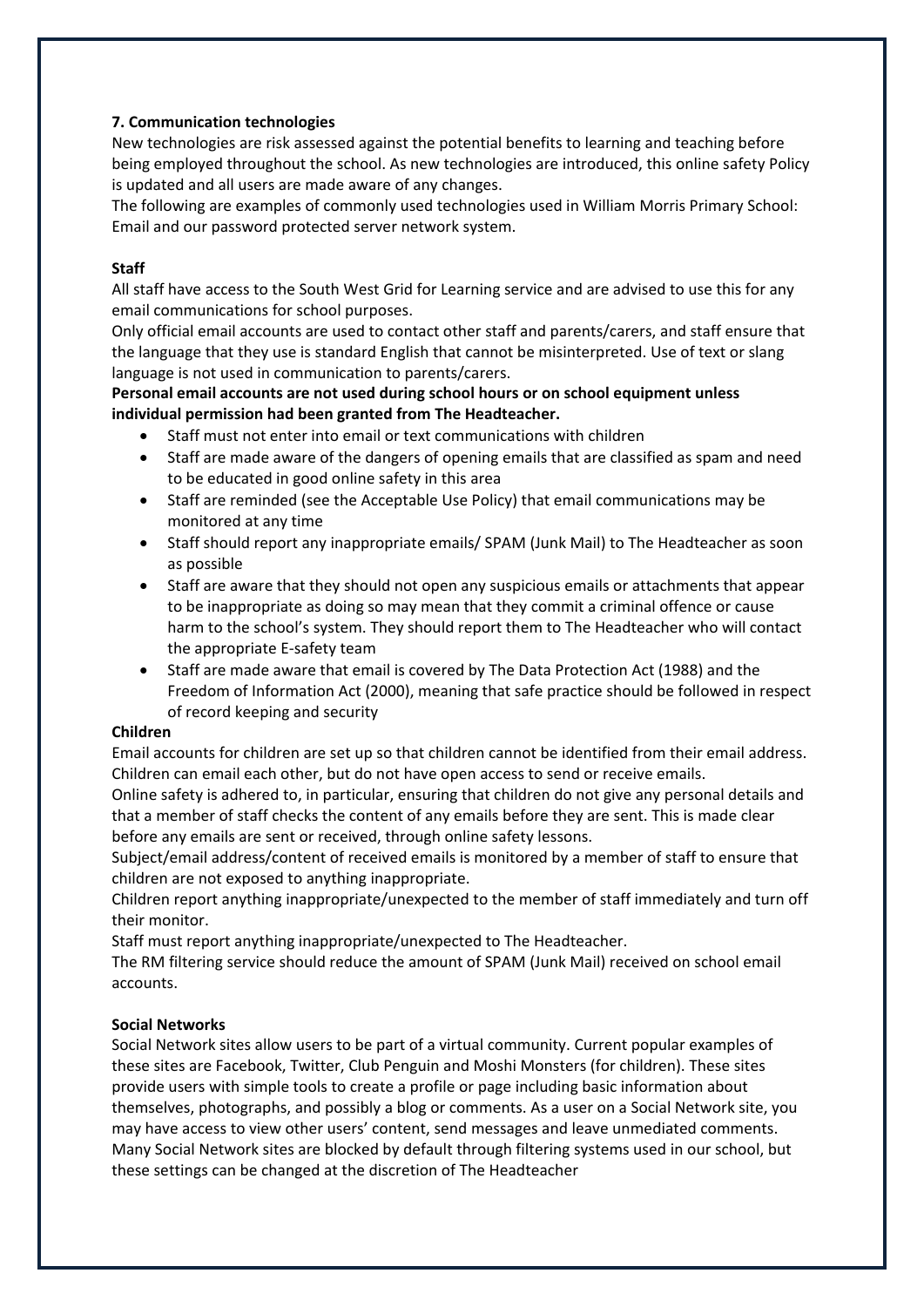# **7. Communication technologies**

New technologies are risk assessed against the potential benefits to learning and teaching before being employed throughout the school. As new technologies are introduced, this online safety Policy is updated and all users are made aware of any changes.

The following are examples of commonly used technologies used in William Morris Primary School: Email and our password protected server network system.

## **Staff**

All staff have access to the South West Grid for Learning service and are advised to use this for any email communications for school purposes.

Only official email accounts are used to contact other staff and parents/carers, and staff ensure that the language that they use is standard English that cannot be misinterpreted. Use of text or slang language is not used in communication to parents/carers.

**Personal email accounts are not used during school hours or on school equipment unless individual permission had been granted from The Headteacher.** 

- Staff must not enter into email or text communications with children
- Staff are made aware of the dangers of opening emails that are classified as spam and need to be educated in good online safety in this area
- Staff are reminded (see the Acceptable Use Policy) that email communications may be monitored at any time
- Staff should report any inappropriate emails/ SPAM (Junk Mail) to The Headteacher as soon as possible
- Staff are aware that they should not open any suspicious emails or attachments that appear to be inappropriate as doing so may mean that they commit a criminal offence or cause harm to the school's system. They should report them to The Headteacher who will contact the appropriate E-safety team
- Staff are made aware that email is covered by The Data Protection Act (1988) and the Freedom of Information Act (2000), meaning that safe practice should be followed in respect of record keeping and security

## **Children**

Email accounts for children are set up so that children cannot be identified from their email address. Children can email each other, but do not have open access to send or receive emails.

Online safety is adhered to, in particular, ensuring that children do not give any personal details and that a member of staff checks the content of any emails before they are sent. This is made clear before any emails are sent or received, through online safety lessons.

Subject/email address/content of received emails is monitored by a member of staff to ensure that children are not exposed to anything inappropriate.

Children report anything inappropriate/unexpected to the member of staff immediately and turn off their monitor.

Staff must report anything inappropriate/unexpected to The Headteacher.

The RM filtering service should reduce the amount of SPAM (Junk Mail) received on school email accounts.

## **Social Networks**

Social Network sites allow users to be part of a virtual community. Current popular examples of these sites are Facebook, Twitter, Club Penguin and Moshi Monsters (for children). These sites provide users with simple tools to create a profile or page including basic information about themselves, photographs, and possibly a blog or comments. As a user on a Social Network site, you may have access to view other users' content, send messages and leave unmediated comments. Many Social Network sites are blocked by default through filtering systems used in our school, but these settings can be changed at the discretion of The Headteacher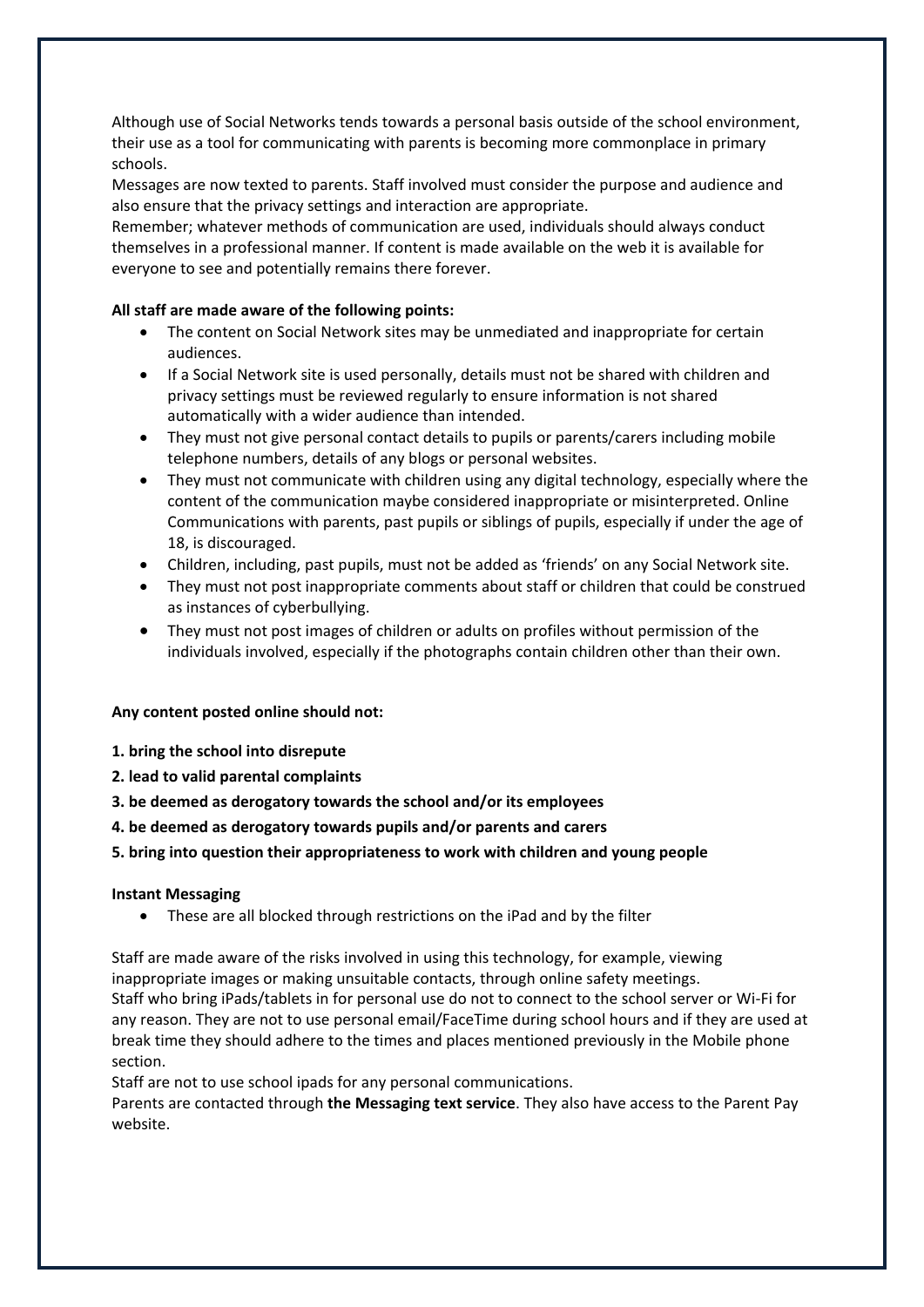Although use of Social Networks tends towards a personal basis outside of the school environment, their use as a tool for communicating with parents is becoming more commonplace in primary schools.

Messages are now texted to parents. Staff involved must consider the purpose and audience and also ensure that the privacy settings and interaction are appropriate.

Remember; whatever methods of communication are used, individuals should always conduct themselves in a professional manner. If content is made available on the web it is available for everyone to see and potentially remains there forever.

# **All staff are made aware of the following points:**

- The content on Social Network sites may be unmediated and inappropriate for certain audiences.
- If a Social Network site is used personally, details must not be shared with children and privacy settings must be reviewed regularly to ensure information is not shared automatically with a wider audience than intended.
- They must not give personal contact details to pupils or parents/carers including mobile telephone numbers, details of any blogs or personal websites.
- They must not communicate with children using any digital technology, especially where the content of the communication maybe considered inappropriate or misinterpreted. Online Communications with parents, past pupils or siblings of pupils, especially if under the age of 18, is discouraged.
- Children, including, past pupils, must not be added as 'friends' on any Social Network site.
- They must not post inappropriate comments about staff or children that could be construed as instances of cyberbullying.
- They must not post images of children or adults on profiles without permission of the individuals involved, especially if the photographs contain children other than their own.

## **Any content posted online should not:**

- **1. bring the school into disrepute**
- **2. lead to valid parental complaints**
- **3. be deemed as derogatory towards the school and/or its employees**
- **4. be deemed as derogatory towards pupils and/or parents and carers**

# **5. bring into question their appropriateness to work with children and young people**

## **Instant Messaging**

These are all blocked through restrictions on the iPad and by the filter

Staff are made aware of the risks involved in using this technology, for example, viewing inappropriate images or making unsuitable contacts, through online safety meetings. Staff who bring iPads/tablets in for personal use do not to connect to the school server or Wi-Fi for any reason. They are not to use personal email/FaceTime during school hours and if they are used at break time they should adhere to the times and places mentioned previously in the Mobile phone section.

Staff are not to use school ipads for any personal communications.

Parents are contacted through **the Messaging text service**. They also have access to the Parent Pay website.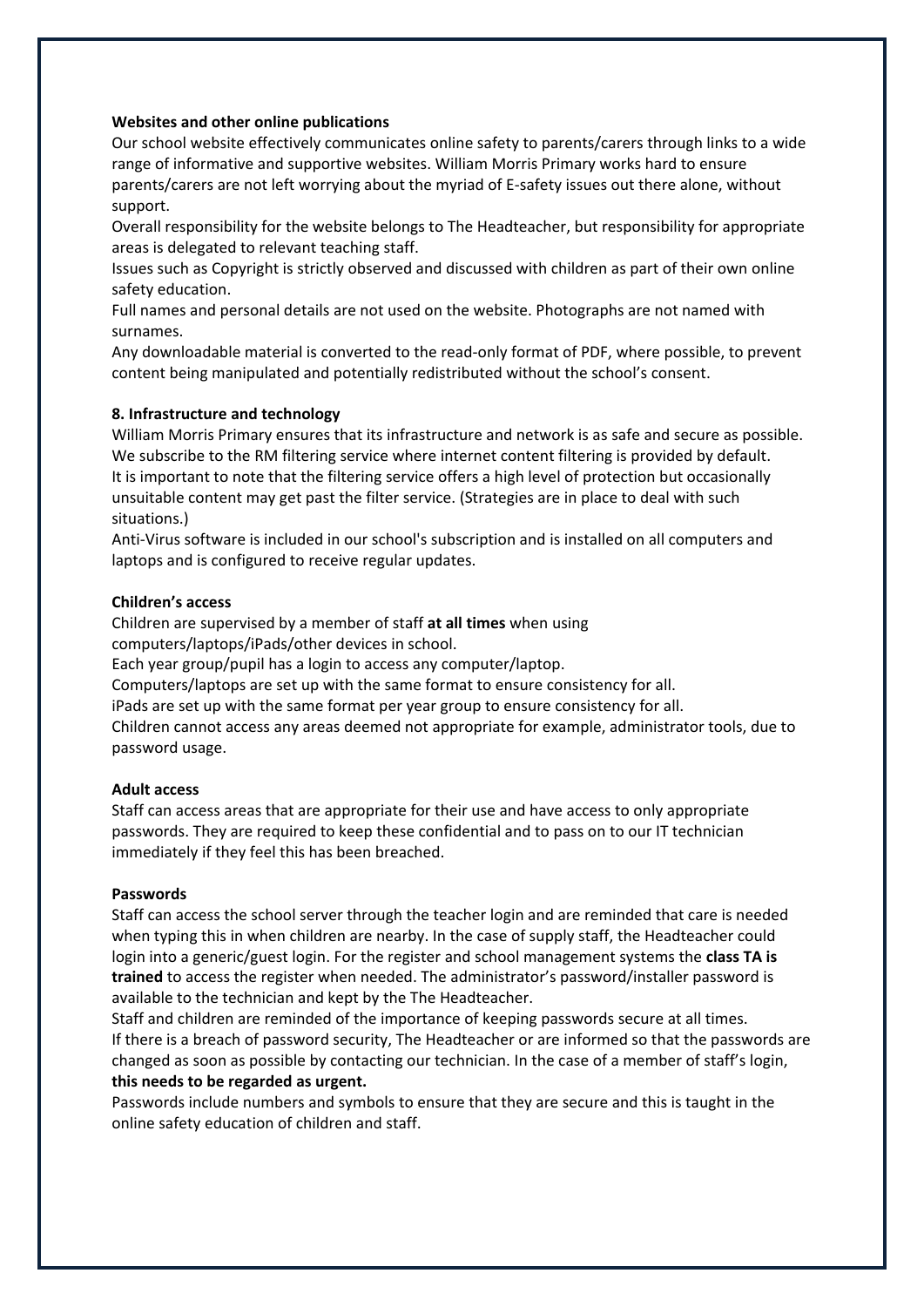#### **Websites and other online publications**

Our school website effectively communicates online safety to parents/carers through links to a wide range of informative and supportive websites. William Morris Primary works hard to ensure parents/carers are not left worrying about the myriad of E-safety issues out there alone, without support.

Overall responsibility for the website belongs to The Headteacher, but responsibility for appropriate areas is delegated to relevant teaching staff.

Issues such as Copyright is strictly observed and discussed with children as part of their own online safety education.

Full names and personal details are not used on the website. Photographs are not named with surnames.

Any downloadable material is converted to the read-only format of PDF, where possible, to prevent content being manipulated and potentially redistributed without the school's consent.

#### **8. Infrastructure and technology**

William Morris Primary ensures that its infrastructure and network is as safe and secure as possible. We subscribe to the RM filtering service where internet content filtering is provided by default. It is important to note that the filtering service offers a high level of protection but occasionally unsuitable content may get past the filter service. (Strategies are in place to deal with such situations.)

Anti‐Virus software is included in our school's subscription and is installed on all computers and laptops and is configured to receive regular updates.

#### **Children's access**

Children are supervised by a member of staff **at all times** when using computers/laptops/iPads/other devices in school.

Each year group/pupil has a login to access any computer/laptop.

Computers/laptops are set up with the same format to ensure consistency for all.

iPads are set up with the same format per year group to ensure consistency for all.

Children cannot access any areas deemed not appropriate for example, administrator tools, due to password usage.

#### **Adult access**

Staff can access areas that are appropriate for their use and have access to only appropriate passwords. They are required to keep these confidential and to pass on to our IT technician immediately if they feel this has been breached.

#### **Passwords**

Staff can access the school server through the teacher login and are reminded that care is needed when typing this in when children are nearby. In the case of supply staff, the Headteacher could login into a generic/guest login. For the register and school management systems the **class TA is trained** to access the register when needed. The administrator's password/installer password is available to the technician and kept by the The Headteacher.

Staff and children are reminded of the importance of keeping passwords secure at all times. If there is a breach of password security, The Headteacher or are informed so that the passwords are changed as soon as possible by contacting our technician. In the case of a member of staff's login, **this needs to be regarded as urgent.** 

Passwords include numbers and symbols to ensure that they are secure and this is taught in the online safety education of children and staff.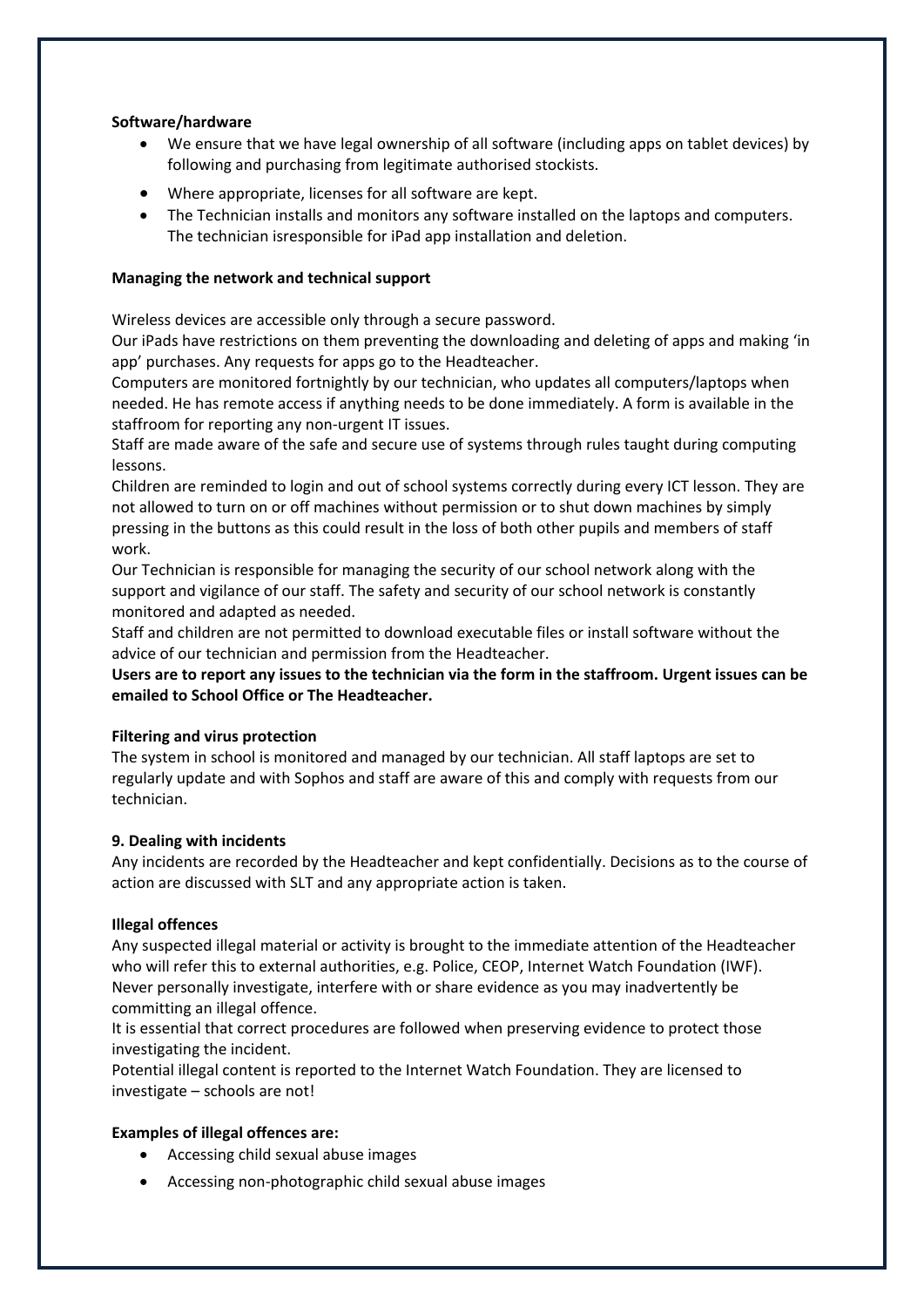## **Software/hardware**

- We ensure that we have legal ownership of all software (including apps on tablet devices) by following and purchasing from legitimate authorised stockists.
- Where appropriate, licenses for all software are kept.
- The Technician installs and monitors any software installed on the laptops and computers. The technician isresponsible for iPad app installation and deletion.

## **Managing the network and technical support**

Wireless devices are accessible only through a secure password.

Our iPads have restrictions on them preventing the downloading and deleting of apps and making 'in app' purchases. Any requests for apps go to the Headteacher.

Computers are monitored fortnightly by our technician, who updates all computers/laptops when needed. He has remote access if anything needs to be done immediately. A form is available in the staffroom for reporting any non-urgent IT issues.

Staff are made aware of the safe and secure use of systems through rules taught during computing lessons.

Children are reminded to login and out of school systems correctly during every ICT lesson. They are not allowed to turn on or off machines without permission or to shut down machines by simply pressing in the buttons as this could result in the loss of both other pupils and members of staff work.

Our Technician is responsible for managing the security of our school network along with the support and vigilance of our staff. The safety and security of our school network is constantly monitored and adapted as needed.

Staff and children are not permitted to download executable files or install software without the advice of our technician and permission from the Headteacher.

**Users are to report any issues to the technician via the form in the staffroom. Urgent issues can be emailed to School Office or The Headteacher.** 

## **Filtering and virus protection**

The system in school is monitored and managed by our technician. All staff laptops are set to regularly update and with Sophos and staff are aware of this and comply with requests from our technician.

## **9. Dealing with incidents**

Any incidents are recorded by the Headteacher and kept confidentially. Decisions as to the course of action are discussed with SLT and any appropriate action is taken.

## **Illegal offences**

Any suspected illegal material or activity is brought to the immediate attention of the Headteacher who will refer this to external authorities, e.g. Police, CEOP, Internet Watch Foundation (IWF). Never personally investigate, interfere with or share evidence as you may inadvertently be committing an illegal offence.

It is essential that correct procedures are followed when preserving evidence to protect those investigating the incident.

Potential illegal content is reported to the Internet Watch Foundation. They are licensed to investigate – schools are not!

# **Examples of illegal offences are:**

- Accessing child sexual abuse images
- Accessing non-photographic child sexual abuse images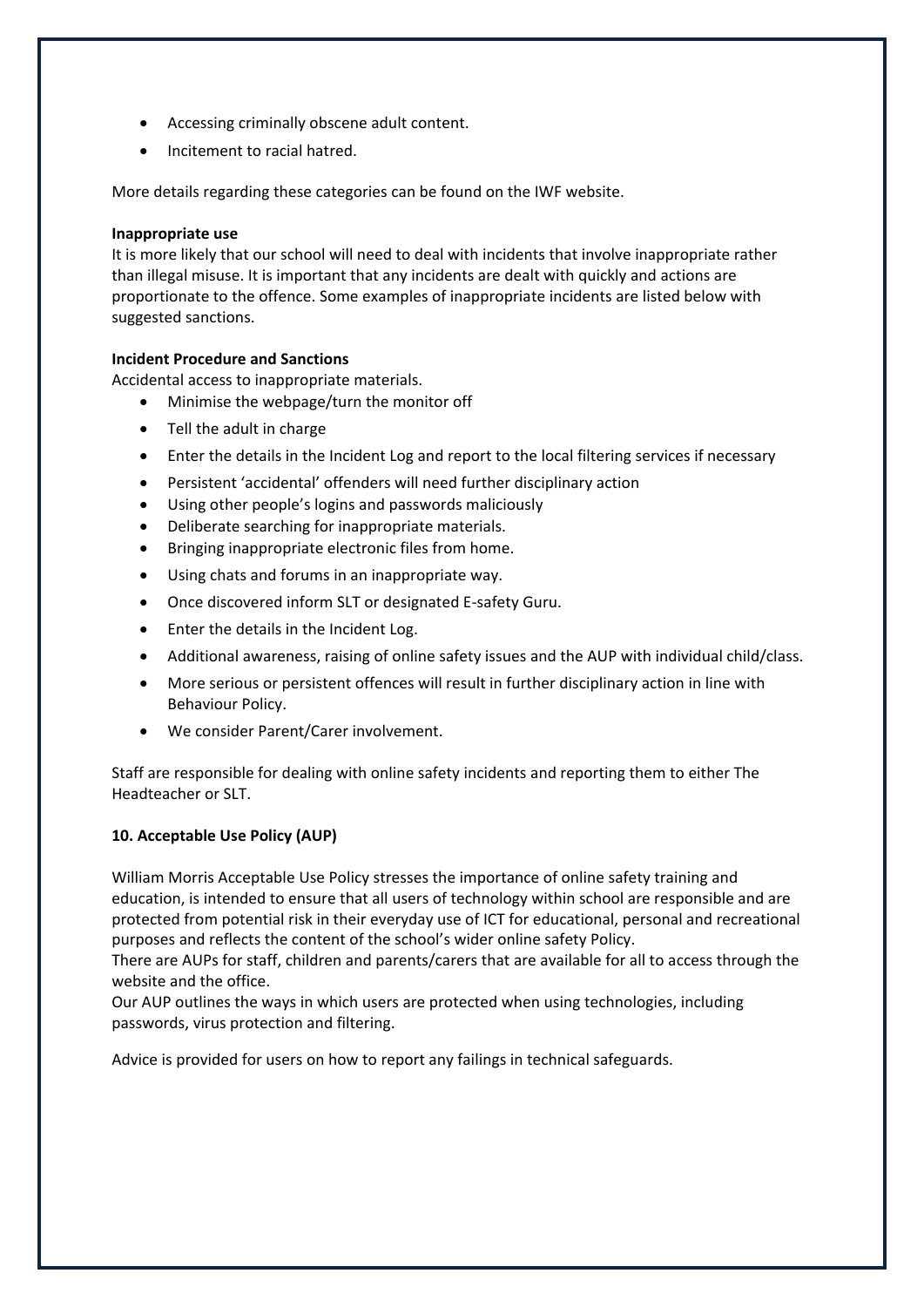- Accessing criminally obscene adult content.
- Incitement to racial hatred.

More details regarding these categories can be found on the IWF website.

#### **Inappropriate use**

It is more likely that our school will need to deal with incidents that involve inappropriate rather than illegal misuse. It is important that any incidents are dealt with quickly and actions are proportionate to the offence. Some examples of inappropriate incidents are listed below with suggested sanctions.

## **Incident Procedure and Sanctions**

Accidental access to inappropriate materials.

- Minimise the webpage/turn the monitor off
- Tell the adult in charge
- Enter the details in the Incident Log and report to the local filtering services if necessary
- Persistent 'accidental' offenders will need further disciplinary action
- Using other people's logins and passwords maliciously
- Deliberate searching for inappropriate materials.
- Bringing inappropriate electronic files from home.
- Using chats and forums in an inappropriate way.
- Once discovered inform SLT or designated E-safety Guru.
- Enter the details in the Incident Log.
- Additional awareness, raising of online safety issues and the AUP with individual child/class.
- More serious or persistent offences will result in further disciplinary action in line with Behaviour Policy.
- We consider Parent/Carer involvement.

Staff are responsible for dealing with online safety incidents and reporting them to either The Headteacher or SLT.

## **10. Acceptable Use Policy (AUP)**

William Morris Acceptable Use Policy stresses the importance of online safety training and education, is intended to ensure that all users of technology within school are responsible and are protected from potential risk in their everyday use of ICT for educational, personal and recreational purposes and reflects the content of the school's wider online safety Policy.

There are AUPs for staff, children and parents/carers that are available for all to access through the website and the office.

Our AUP outlines the ways in which users are protected when using technologies, including passwords, virus protection and filtering.

Advice is provided for users on how to report any failings in technical safeguards.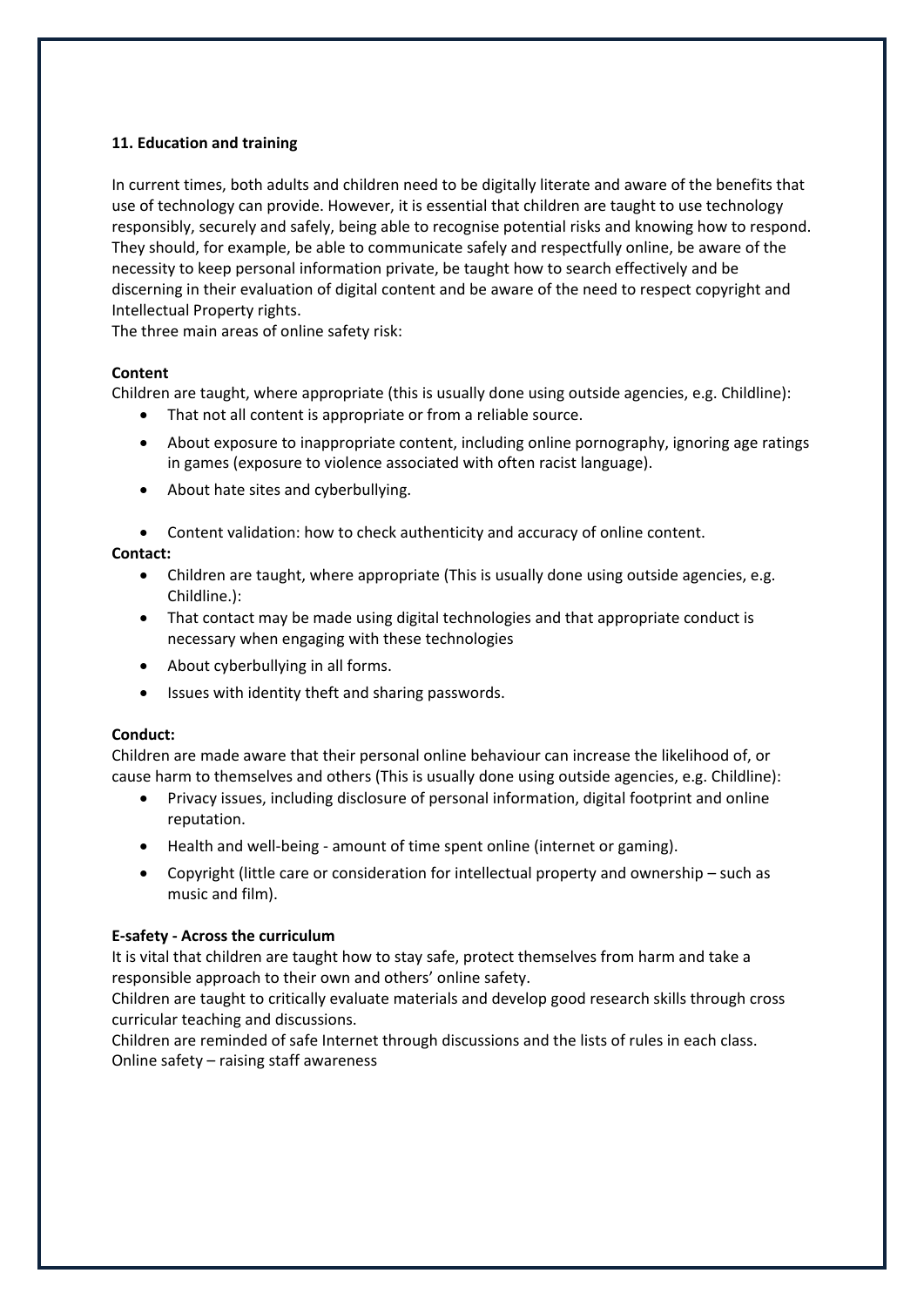# **11. Education and training**

In current times, both adults and children need to be digitally literate and aware of the benefits that use of technology can provide. However, it is essential that children are taught to use technology responsibly, securely and safely, being able to recognise potential risks and knowing how to respond. They should, for example, be able to communicate safely and respectfully online, be aware of the necessity to keep personal information private, be taught how to search effectively and be discerning in their evaluation of digital content and be aware of the need to respect copyright and Intellectual Property rights.

The three main areas of online safety risk:

## **Content**

Children are taught, where appropriate (this is usually done using outside agencies, e.g. Childline):

- That not all content is appropriate or from a reliable source.
- About exposure to inappropriate content, including online pornography, ignoring age ratings in games (exposure to violence associated with often racist language).
- About hate sites and cyberbullying.
- Content validation: how to check authenticity and accuracy of online content.

# **Contact:**

- Children are taught, where appropriate (This is usually done using outside agencies, e.g. Childline.):
- That contact may be made using digital technologies and that appropriate conduct is necessary when engaging with these technologies
- About cyberbullying in all forms.
- Issues with identity theft and sharing passwords.

## **Conduct:**

Children are made aware that their personal online behaviour can increase the likelihood of, or cause harm to themselves and others (This is usually done using outside agencies, e.g. Childline):

- Privacy issues, including disclosure of personal information, digital footprint and online reputation.
- Health and well-being amount of time spent online (internet or gaming).
- Copyright (little care or consideration for intellectual property and ownership such as music and film).

## **E-safety ‐ Across the curriculum**

It is vital that children are taught how to stay safe, protect themselves from harm and take a responsible approach to their own and others' online safety.

Children are taught to critically evaluate materials and develop good research skills through cross curricular teaching and discussions.

Children are reminded of safe Internet through discussions and the lists of rules in each class. Online safety – raising staff awareness